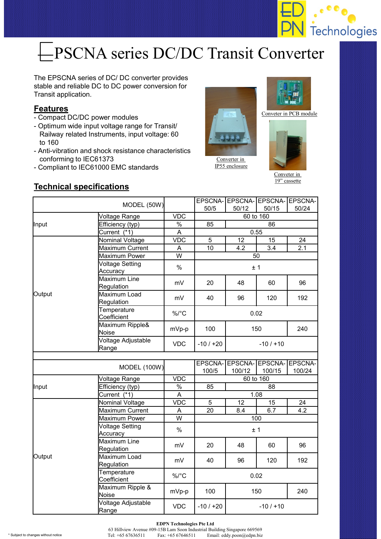

# **EPSCNA series DC/DC Transit Converter**

The EPSCNA series of DC/ DC converter provides stable and reliable DC to DC power conversion for Transit application.

#### **Features**

- Compact DC/DC power modules
- Optimum wide input voltage range for Transit/ Railway related Instruments, input voltage: 60 to 160
- Anti-vibration and shock resistance characteristics conforming to IEC61373
- Compliant to IEC61000 EMC standards



Converter in IP55 enclosure



Conveter in PCB module



Conveter in 19" cassette

#### **Technical specifications**

| MODEL (50W)   |                                    |               | 50/5                   | EPSCNA- EPSCNA- EPSCNA- EPSCNA-<br>50/12 | 50/15  | 50/24             |  |  |
|---------------|------------------------------------|---------------|------------------------|------------------------------------------|--------|-------------------|--|--|
| Voltage Range |                                    | <b>VDC</b>    | 60 to 160              |                                          |        |                   |  |  |
| Input         | Efficiency (typ)                   | $\%$          | 85                     | 86                                       |        |                   |  |  |
|               | Current (*1)                       | A             | 0.55                   |                                          |        |                   |  |  |
| Output        | Nominal Voltage                    | <b>VDC</b>    | 5<br>12<br>15          |                                          |        | 24                |  |  |
|               | Maximum Current                    | A             | 10                     | 4.2                                      | 3.4    | 2.1               |  |  |
|               | <b>Maximum Power</b>               | W             | 50                     |                                          |        |                   |  |  |
|               | <b>Voltage Setting</b><br>Accuracy | $\%$          | ±1                     |                                          |        |                   |  |  |
|               | <b>Maximum Line</b><br>Regulation  | mV            | 20                     | 48                                       | 60     | 96                |  |  |
|               | Maximum Load<br>Regulation         | mV            | 40                     | 96                                       | 120    | 192               |  |  |
|               | Temperature<br>Coefficient         | %/°C          | 0.02                   |                                          |        |                   |  |  |
|               | Maximum Ripple&<br><b>Noise</b>    | mVp-p         | 100<br>150             |                                          | 240    |                   |  |  |
|               | Voltage Adjustable<br>Range        | <b>VDC</b>    | $-10/120$<br>$-10/110$ |                                          |        |                   |  |  |
|               |                                    |               |                        |                                          |        |                   |  |  |
|               | <b>MODEL (100W)</b>                |               | EPSCNA-<br>100/5       | EPSCNA-EPSCNA-<br>100/12                 | 100/15 | EPSCNA-<br>100/24 |  |  |
| Input         | Voltage Range                      | <b>VDC</b>    | 60 to 160              |                                          |        |                   |  |  |
|               | Efficiency (typ)                   | $\frac{0}{6}$ | 85<br>88               |                                          |        |                   |  |  |
|               | Current (*1)                       | A             | 1.08                   |                                          |        |                   |  |  |
| Output        | Nominal Voltage                    | <b>VDC</b>    | 5                      | 12                                       | 15     | 24                |  |  |
|               | Maximum Current                    | A             | 20                     | 6.7<br>8.4                               |        | 4.2               |  |  |
|               | Maximum Power                      | W             | 100                    |                                          |        |                   |  |  |
|               | <b>Voltage Setting</b><br>Accuracy | $\frac{0}{0}$ | ±1                     |                                          |        |                   |  |  |
|               | Maximum Line<br>Regulation         | mV            | 20                     | 48                                       | 60     | 96                |  |  |
|               | Maximum Load<br>Regulation         | mV            | 40                     | 96                                       | 120    | 192               |  |  |
|               | Temperature<br>Coefficient         | $\%$ /°C      | 0.02                   |                                          |        |                   |  |  |
|               | Maximum Ripple &<br>Noise          | mVp-p         | 100<br>150             |                                          | 240    |                   |  |  |
|               | Voltage Adjustable<br>Range        | <b>VDC</b>    | $-10/120$              | $-10/110$                                |        |                   |  |  |

**EDPN Technologies Pte Ltd** 63 Hillview Avenue #09-15B Lam Soon Industrial Building Singapore 669569